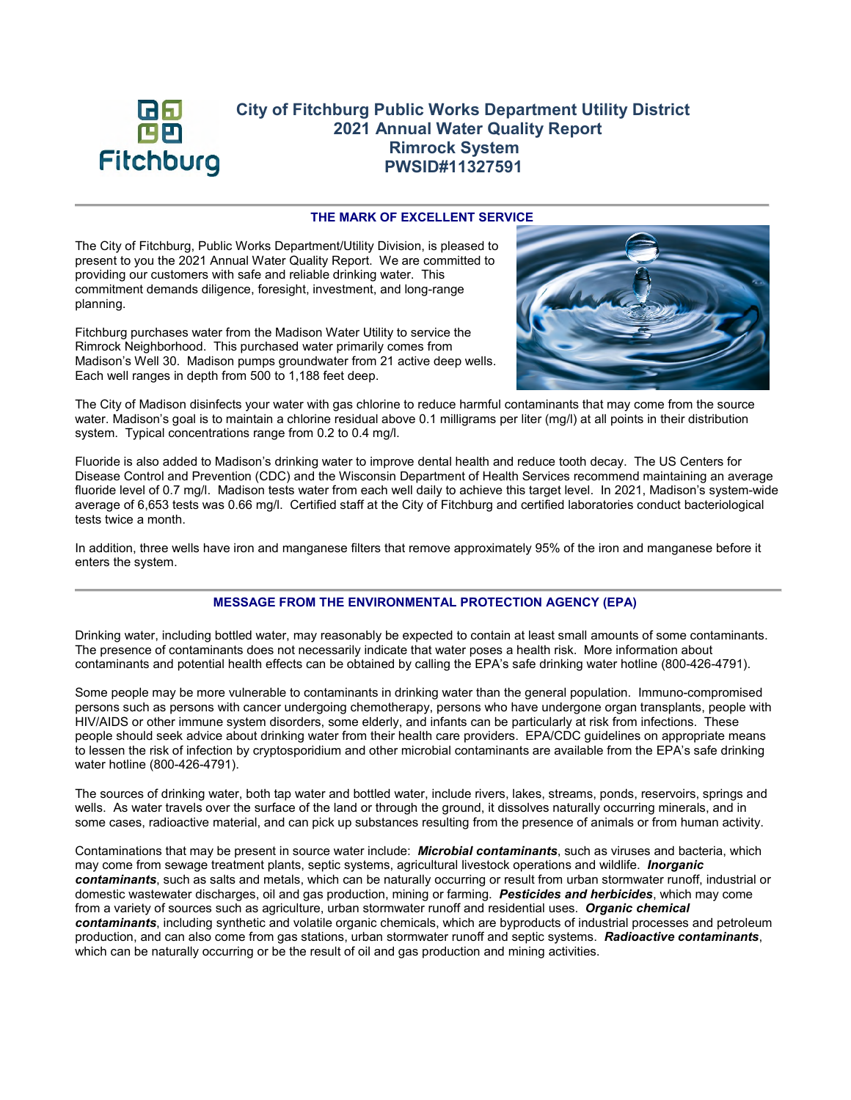

# **City of Fitchburg Public Works Department Utility District 2021 Annual Water Quality Report Rimrock System PWSID#11327591**

# **THE MARK OF EXCELLENT SERVICE**

The City of Fitchburg, Public Works Department/Utility Division, is pleased to present to you the 2021 Annual Water Quality Report. We are committed to providing our customers with safe and reliable drinking water. This commitment demands diligence, foresight, investment, and long-range planning.

Fitchburg purchases water from the Madison Water Utility to service the Rimrock Neighborhood. This purchased water primarily comes from Madison's Well 30. Madison pumps groundwater from 21 active deep wells. Each well ranges in depth from 500 to 1,188 feet deep.



The City of Madison disinfects your water with gas chlorine to reduce harmful contaminants that may come from the source water. Madison's goal is to maintain a chlorine residual above 0.1 milligrams per liter (mg/l) at all points in their distribution system. Typical concentrations range from 0.2 to 0.4 mg/l.

Fluoride is also added to Madison's drinking water to improve dental health and reduce tooth decay. The US Centers for Disease Control and Prevention (CDC) and the Wisconsin Department of Health Services recommend maintaining an average fluoride level of 0.7 mg/l. Madison tests water from each well daily to achieve this target level. In 2021, Madison's system-wide average of 6,653 tests was 0.66 mg/l. Certified staff at the City of Fitchburg and certified laboratories conduct bacteriological tests twice a month.

In addition, three wells have iron and manganese filters that remove approximately 95% of the iron and manganese before it enters the system.

# **MESSAGE FROM THE ENVIRONMENTAL PROTECTION AGENCY (EPA)**

Drinking water, including bottled water, may reasonably be expected to contain at least small amounts of some contaminants. The presence of contaminants does not necessarily indicate that water poses a health risk. More information about contaminants and potential health effects can be obtained by calling the EPA's safe drinking water hotline (800-426-4791).

Some people may be more vulnerable to contaminants in drinking water than the general population. Immuno-compromised persons such as persons with cancer undergoing chemotherapy, persons who have undergone organ transplants, people with HIV/AIDS or other immune system disorders, some elderly, and infants can be particularly at risk from infections. These people should seek advice about drinking water from their health care providers. EPA/CDC guidelines on appropriate means to lessen the risk of infection by cryptosporidium and other microbial contaminants are available from the EPA's safe drinking water hotline (800-426-4791).

The sources of drinking water, both tap water and bottled water, include rivers, lakes, streams, ponds, reservoirs, springs and wells. As water travels over the surface of the land or through the ground, it dissolves naturally occurring minerals, and in some cases, radioactive material, and can pick up substances resulting from the presence of animals or from human activity.

Contaminations that may be present in source water include: *Microbial contaminants*, such as viruses and bacteria, which may come from sewage treatment plants, septic systems, agricultural livestock operations and wildlife. *Inorganic contaminants*, such as salts and metals, which can be naturally occurring or result from urban stormwater runoff, industrial or domestic wastewater discharges, oil and gas production, mining or farming. *Pesticides and herbicides*, which may come from a variety of sources such as agriculture, urban stormwater runoff and residential uses. *Organic chemical contaminants*, including synthetic and volatile organic chemicals, which are byproducts of industrial processes and petroleum production, and can also come from gas stations, urban stormwater runoff and septic systems. *Radioactive contaminants*, which can be naturally occurring or be the result of oil and gas production and mining activities.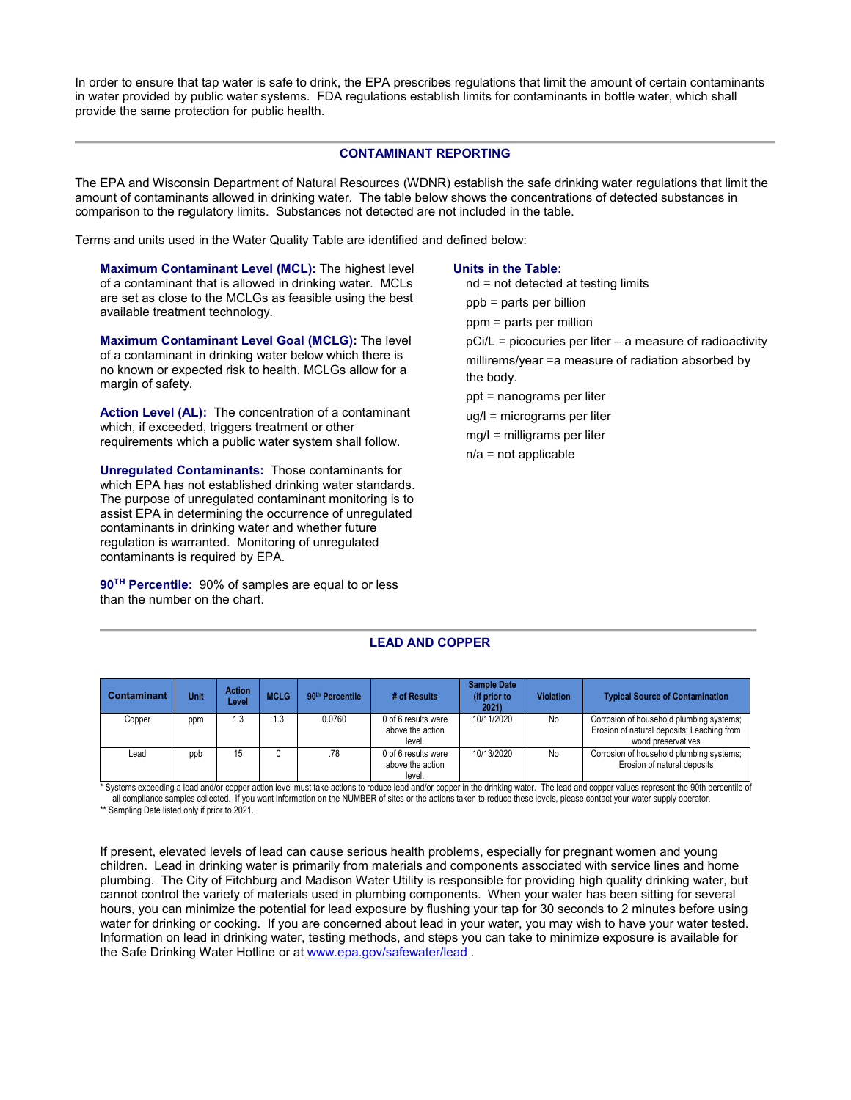In order to ensure that tap water is safe to drink, the EPA prescribes regulations that limit the amount of certain contaminants in water provided by public water systems. FDA regulations establish limits for contaminants in bottle water, which shall provide the same protection for public health.

### **CONTAMINANT REPORTING**

The EPA and Wisconsin Department of Natural Resources (WDNR) establish the safe drinking water regulations that limit the amount of contaminants allowed in drinking water. The table below shows the concentrations of detected substances in comparison to the regulatory limits. Substances not detected are not included in the table.

Terms and units used in the Water Quality Table are identified and defined below:

**Maximum Contaminant Level (MCL):** The highest level of a contaminant that is allowed in drinking water. MCLs are set as close to the MCLGs as feasible using the best available treatment technology.

**Maximum Contaminant Level Goal (MCLG):** The level of a contaminant in drinking water below which there is no known or expected risk to health. MCLGs allow for a margin of safety.

**Action Level (AL):** The concentration of a contaminant which, if exceeded, triggers treatment or other requirements which a public water system shall follow.

**Unregulated Contaminants:** Those contaminants for which EPA has not established drinking water standards. The purpose of unregulated contaminant monitoring is to assist EPA in determining the occurrence of unregulated contaminants in drinking water and whether future regulation is warranted. Monitoring of unregulated contaminants is required by EPA.

**90TH Percentile:** 90% of samples are equal to or less than the number on the chart.

#### **Units in the Table:**

nd = not detected at testing limits ppb = parts per billion

ppm = parts per million

pCi/L = picocuries per liter – a measure of radioactivity

millirems/year =a measure of radiation absorbed by the body.

- ppt = nanograms per liter
- ug/l = micrograms per liter
- mg/l = milligrams per liter
- n/a = not applicable

## **LEAD AND COPPER**

| Contaminant | Unit | <b>Action</b><br>Level | <b>MCLG</b> | 90 <sup>th</sup> Percentile | # of Results                                      | <b>Sample Date</b><br>(if prior to<br>2021 | <b>Violation</b> | <b>Typical Source of Contamination</b>                                                                       |
|-------------|------|------------------------|-------------|-----------------------------|---------------------------------------------------|--------------------------------------------|------------------|--------------------------------------------------------------------------------------------------------------|
| Copper      | ppm  | .3                     | 1.3         | 0.0760                      | 0 of 6 results were<br>above the action<br>level. | 10/11/2020                                 | No               | Corrosion of household plumbing systems;<br>Erosion of natural deposits; Leaching from<br>wood preservatives |
| Lead        | ppb  | 15                     |             | .78                         | 0 of 6 results were<br>above the action<br>level. | 10/13/2020                                 | No               | Corrosion of household plumbing systems;<br>Erosion of natural deposits                                      |

\* Systems exceeding a lead and/or copper action level must take actions to reduce lead and/or copper in the drinking water. The lead and copper values represent the 90th percentile of all compliance samples collected. If you want information on the NUMBER of sites or the actions taken to reduce these levels, please contact your water supply operator. \*\* Sampling Date listed only if prior to 2021.

If present, elevated levels of lead can cause serious health problems, especially for pregnant women and young children. Lead in drinking water is primarily from materials and components associated with service lines and home plumbing. The City of Fitchburg and Madison Water Utility is responsible for providing high quality drinking water, but cannot control the variety of materials used in plumbing components. When your water has been sitting for several hours, you can minimize the potential for lead exposure by flushing your tap for 30 seconds to 2 minutes before using water for drinking or cooking. If you are concerned about lead in your water, you may wish to have your water tested. Information on lead in drinking water, testing methods, and steps you can take to minimize exposure is available for the Safe Drinking Water Hotline or at www.epa.gov/safewater/lead .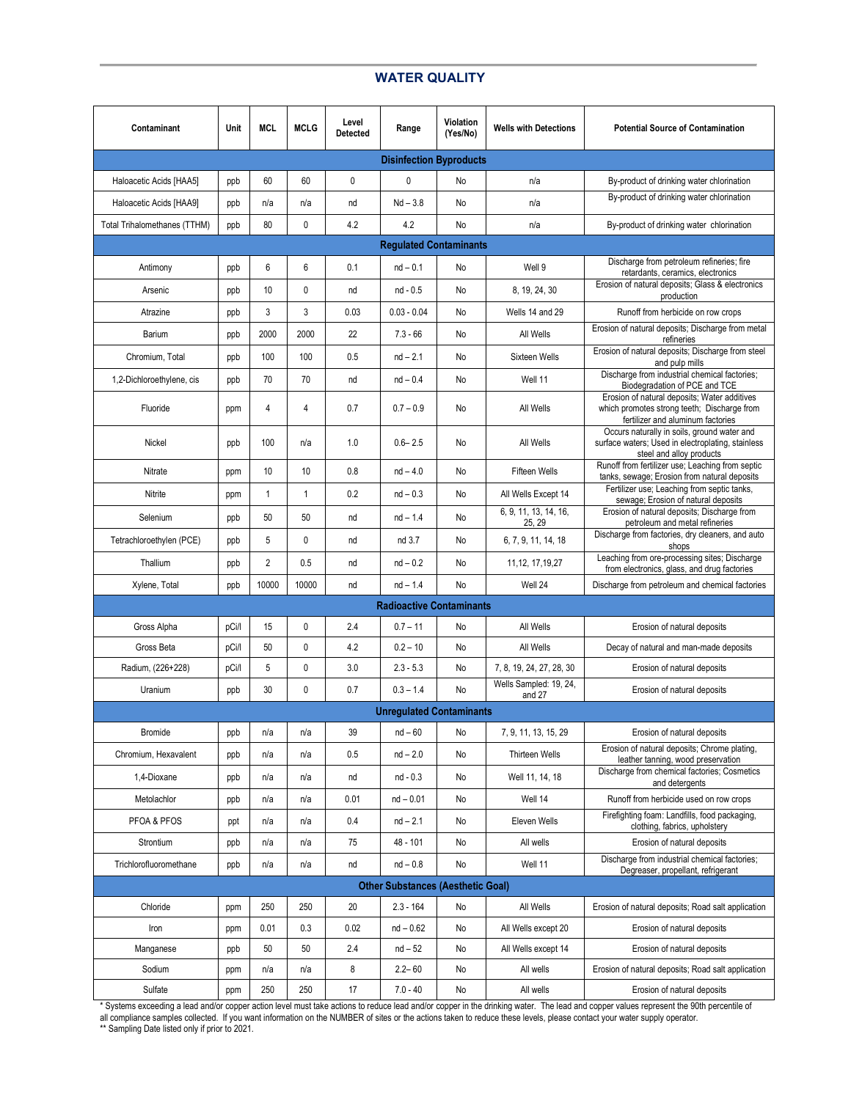# **WATER QUALITY**

| Contaminant                              | Unit  | <b>MCL</b>     | <b>MCLG</b>  | Level<br><b>Detected</b> | Range                     | Violation<br>(Yes/No) | <b>Wells with Detections</b>     | <b>Potential Source of Contamination</b>                                                                                         |
|------------------------------------------|-------|----------------|--------------|--------------------------|---------------------------|-----------------------|----------------------------------|----------------------------------------------------------------------------------------------------------------------------------|
| <b>Disinfection Byproducts</b>           |       |                |              |                          |                           |                       |                                  |                                                                                                                                  |
| Haloacetic Acids [HAA5]                  | ppb   | 60             | 60           | $\mathbf{0}$             | $\mathbf{0}$<br>No<br>n/a |                       |                                  | By-product of drinking water chlorination                                                                                        |
| Haloacetic Acids [HAA9]                  | ppb   | n/a            | n/a          | nd                       | $Nd - 3.8$                | No                    | n/a                              | By-product of drinking water chlorination                                                                                        |
| Total Trihalomethanes (TTHM)             | ppb   | 80             | 0            | 4.2                      | 4.2                       | No                    | n/a                              | By-product of drinking water chlorination                                                                                        |
| <b>Regulated Contaminants</b>            |       |                |              |                          |                           |                       |                                  |                                                                                                                                  |
| Antimony                                 | ppb   | 6              | 6            | 0.1                      | $nd - 0.1$                | No                    | Well 9                           | Discharge from petroleum refineries; fire<br>retardants, ceramics, electronics                                                   |
| Arsenic                                  | ppb   | 10             | 0            | nd                       | nd - 0.5                  | No                    | 8, 19, 24, 30                    | Erosion of natural deposits; Glass & electronics<br>production                                                                   |
| Atrazine                                 | ppb   | 3              | 3            | 0.03                     | $0.03 - 0.04$             | No                    | Wells 14 and 29                  | Runoff from herbicide on row crops                                                                                               |
| Barium                                   | ppb   | 2000           | 2000         | 22                       | $7.3 - 66$                | No                    | All Wells                        | Erosion of natural deposits; Discharge from metal<br>refineries                                                                  |
| Chromium, Total                          | ppb   | 100            | 100          | 0.5                      | $nd - 2.1$                | No                    | Sixteen Wells                    | Erosion of natural deposits; Discharge from steel<br>and pulp mills                                                              |
| 1,2-Dichloroethylene, cis                | ppb   | 70             | 70           | nd                       | $nd - 0.4$                | No                    | Well 11                          | Discharge from industrial chemical factories;<br>Biodegradation of PCE and TCE                                                   |
| Fluoride                                 | ppm   | 4              | 4            | 0.7                      | $0.7 - 0.9$               | No                    | All Wells                        | Erosion of natural deposits: Water additives<br>which promotes strong teeth; Discharge from<br>fertilizer and aluminum factories |
| Nickel                                   | ppb   | 100            | n/a          | 1.0                      | $0.6 - 2.5$               | No                    | All Wells                        | Occurs naturally in soils, ground water and<br>surface waters; Used in electroplating, stainless<br>steel and alloy products     |
| Nitrate                                  | ppm   | 10             | 10           | 0.8                      | $nd - 4.0$                | No                    | <b>Fifteen Wells</b>             | Runoff from fertilizer use; Leaching from septic<br>tanks, sewage; Erosion from natural deposits                                 |
| Nitrite                                  | ppm   | $\mathbf{1}$   | $\mathbf{1}$ | 0.2                      | $nd - 0.3$                | No                    | All Wells Except 14              | Fertilizer use; Leaching from septic tanks,<br>sewage; Erosion of natural deposits                                               |
| Selenium                                 | ppb   | 50             | 50           | nd                       | $nd - 1.4$                | No                    | 6, 9, 11, 13, 14, 16,<br>25, 29  | Erosion of natural deposits; Discharge from<br>petroleum and metal refineries                                                    |
| Tetrachloroethylen (PCE)                 | ppb   | 5              | 0            | nd                       | nd 3.7                    | No                    | 6, 7, 9, 11, 14, 18              | Discharge from factories, dry cleaners, and auto<br>shops                                                                        |
| Thallium                                 | ppb   | $\overline{2}$ | 0.5          | nd                       | $nd - 0.2$                | No                    | 11, 12, 17, 19, 27               | Leaching from ore-processing sites; Discharge<br>from electronics, glass, and drug factories                                     |
| Xylene, Total                            | ppb   | 10000          | 10000        | nd                       | $nd - 1.4$                | No                    | Well 24                          | Discharge from petroleum and chemical factories                                                                                  |
| <b>Radioactive Contaminants</b>          |       |                |              |                          |                           |                       |                                  |                                                                                                                                  |
| Gross Alpha                              | pCi/l | 15             | 0            | 2.4                      | $0.7 - 11$                | No                    | All Wells                        | Erosion of natural deposits                                                                                                      |
| Gross Beta                               | pCi/l | 50             | 0            | 4.2                      | $0.2 - 10$                | No                    | All Wells                        | Decay of natural and man-made deposits                                                                                           |
| Radium, (226+228)                        | pCi/l | 5              | 0            | 3.0                      | $2.3 - 5.3$               | No                    | 7, 8, 19, 24, 27, 28, 30         | Erosion of natural deposits                                                                                                      |
| Uranium                                  | ppb   | 30             | 0            | 0.7                      | $0.3 - 1.4$               | No                    | Wells Sampled: 19, 24,<br>and 27 | Erosion of natural deposits                                                                                                      |
| <b>Unregulated Contaminants</b>          |       |                |              |                          |                           |                       |                                  |                                                                                                                                  |
| <b>Bromide</b>                           | ppb   | n/a            | n/a          | 39                       | $nd - 60$                 | No                    | 7, 9, 11, 13, 15, 29             | Erosion of natural deposits                                                                                                      |
| Chromium, Hexavalent                     | ppb   | n/a            | n/a          | 0.5                      | $nd - 2.0$                | No                    | Thirteen Wells                   | Erosion of natural deposits; Chrome plating,<br>leather tanning, wood preservation                                               |
| 1,4-Dioxane                              | ppb   | n/a            | n/a          | nd                       | nd - 0.3                  | No                    | Well 11, 14, 18                  | Discharge from chemical factories; Cosmetics<br>and detergents                                                                   |
| Metolachlor                              | ppb   | n/a            | n/a          | 0.01                     | $nd - 0.01$               | No                    | Well 14                          | Runoff from herbicide used on row crops                                                                                          |
| PFOA & PFOS                              | ppt   | n/a            | n/a          | 0.4                      | $nd - 2.1$                | No                    | Eleven Wells                     | Firefighting foam: Landfills, food packaging,<br>clothing, fabrics, upholstery                                                   |
| Strontium                                | ppb   | n/a            | n/a          | 75                       | 48 - 101                  | No                    | All wells                        | Erosion of natural deposits                                                                                                      |
| Trichlorofluoromethane                   | ppb   | n/a            | n/a          | nd                       | $nd - 0.8$                | No                    | Well 11                          | Discharge from industrial chemical factories;<br>Degreaser, propellant, refrigerant                                              |
| <b>Other Substances (Aesthetic Goal)</b> |       |                |              |                          |                           |                       |                                  |                                                                                                                                  |
| Chloride                                 | ppm   | 250            | 250          | 20                       | $2.3 - 164$               | No                    | All Wells                        | Erosion of natural deposits; Road salt application                                                                               |
| Iron                                     | ppm   | 0.01           | 0.3          | 0.02                     | $nd - 0.62$               | No                    | All Wells except 20              | Erosion of natural deposits                                                                                                      |
| Manganese                                | ppb   | 50             | 50           | 2.4                      | $nd - 52$                 | No                    | All Wells except 14              | Erosion of natural deposits                                                                                                      |
| Sodium                                   | ppm   | n/a            | n/a          | 8                        | $2.2 - 60$                | No                    | All wells                        | Erosion of natural deposits; Road salt application                                                                               |
| Sulfate                                  | ppm   | 250            | 250          | 17                       | $7.0 - 40$                | No                    | All wells                        | Erosion of natural deposits                                                                                                      |

\* Systems exceeding a lead and/or copper action level must take actions to reduce lead and/or copper in the drinking water. The lead and copper values represent the 90th percentile of all compliance samples collected. If you want information on the NUMBER of sites or the actions taken to reduce these levels, please contact your water supply operator. \*\* Sampling Date listed only if prior to 2021.